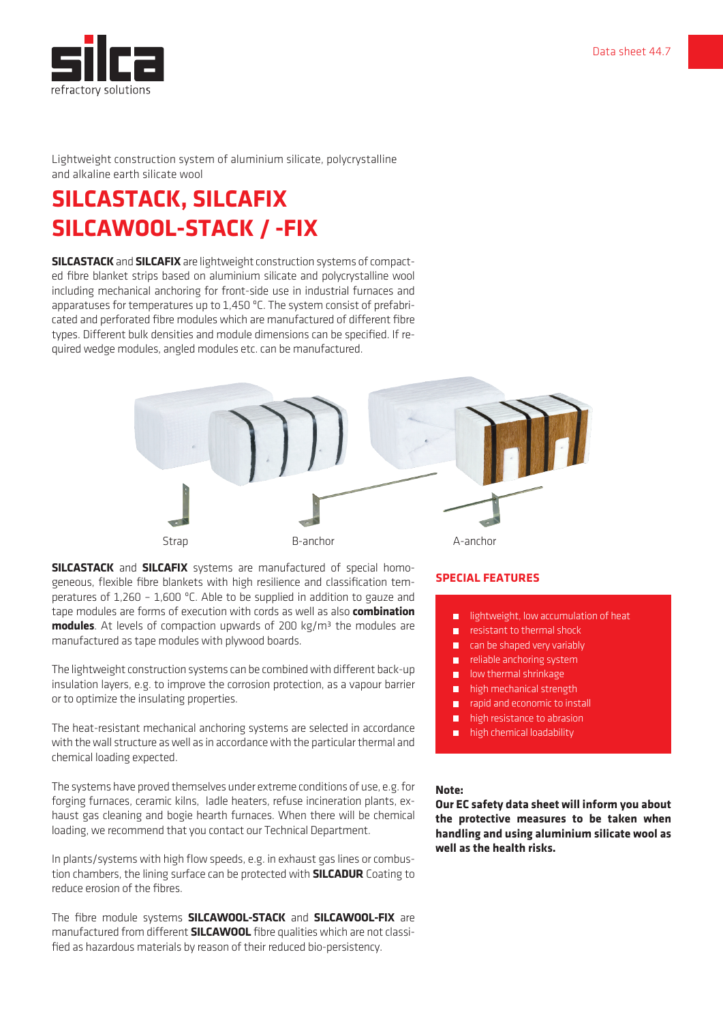

Lightweight construction system of aluminium silicate, polycrystalline and alkaline earth silicate wool

## **SILCASTACK, SILCAFIX SILCAWOOL-STACK / -FIX**

**SILCASTACK** and **SILCAFIX** are lightweight construction systems of compacted fibre blanket strips based on aluminium silicate and polycrystalline wool including mechanical anchoring for front-side use in industrial furnaces and apparatuses for temperatures up to 1,450 ºC. The system consist of prefabricated and perforated fibre modules which are manufactured of different fibre types. Different bulk densities and module dimensions can be specified. If required wedge modules, angled modules etc. can be manufactured.



**SILCASTACK** and **SILCAFIX** systems are manufactured of special homogeneous, flexible fibre blankets with high resilience and classification temperatures of 1,260 – 1,600 ºC. Able to be supplied in addition to gauze and tape modules are forms of execution with cords as well as also **combination modules**. At levels of compaction upwards of 200 kg/m<sup>3</sup> the modules are manufactured as tape modules with plywood boards.

The lightweight construction systems can be combined with different back-up insulation layers, e.g. to improve the corrosion protection, as a vapour barrier or to optimize the insulating properties.

The heat-resistant mechanical anchoring systems are selected in accordance with the wall structure as well as in accordance with the particular thermal and chemical loading expected.

The systems have proved themselves under extreme conditions of use, e.g. for forging furnaces, ceramic kilns, ladle heaters, refuse incineration plants, exhaust gas cleaning and bogie hearth furnaces. When there will be chemical loading, we recommend that you contact our Technical Department.

In plants/systems with high flow speeds, e.g. in exhaust gas lines or combustion chambers, the lining surface can be protected with **SILCADUR** Coating to reduce erosion of the fibres.

The fibre module systems **SILCAWOOL-STACK** and **SILCAWOOL-FIX** are manufactured from different **SILCAWOOL** fibre qualities which are not classified as hazardous materials by reason of their reduced bio-persistency.

## **SPECIAL FEATURES**

- lightweight, low accumulation of heat
- resistant to thermal shock
- can be shaped very variably
- reliable anchoring system
- **low thermal shrinkage**
- high mechanical strength
- rapid and economic to install
- **high resistance to abrasion**
- high chemical loadability

#### **Note:**

**Our EC safety data sheet will inform you about the protective measures to be taken when handling and using aluminium silicate wool as well as the health risks.**